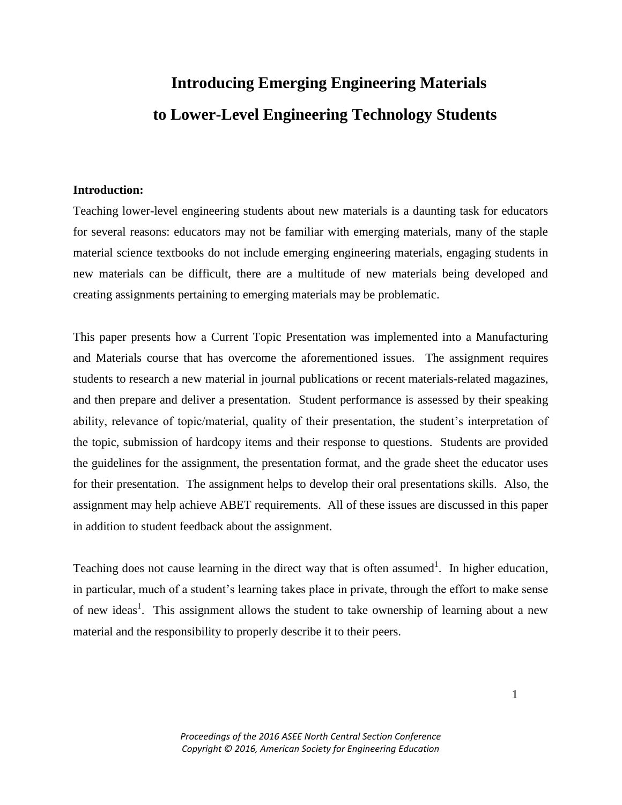# **Introducing Emerging Engineering Materials to Lower-Level Engineering Technology Students**

#### **Introduction:**

Teaching lower-level engineering students about new materials is a daunting task for educators for several reasons: educators may not be familiar with emerging materials, many of the staple material science textbooks do not include emerging engineering materials, engaging students in new materials can be difficult, there are a multitude of new materials being developed and creating assignments pertaining to emerging materials may be problematic.

This paper presents how a Current Topic Presentation was implemented into a Manufacturing and Materials course that has overcome the aforementioned issues. The assignment requires students to research a new material in journal publications or recent materials-related magazines, and then prepare and deliver a presentation. Student performance is assessed by their speaking ability, relevance of topic/material, quality of their presentation, the student's interpretation of the topic, submission of hardcopy items and their response to questions. Students are provided the guidelines for the assignment, the presentation format, and the grade sheet the educator uses for their presentation. The assignment helps to develop their oral presentations skills. Also, the assignment may help achieve ABET requirements. All of these issues are discussed in this paper in addition to student feedback about the assignment.

Teaching does not cause learning in the direct way that is often assumed<sup>1</sup>. In higher education, in particular, much of a student's learning takes place in private, through the effort to make sense of new ideas<sup>1</sup>. This assignment allows the student to take ownership of learning about a new material and the responsibility to properly describe it to their peers.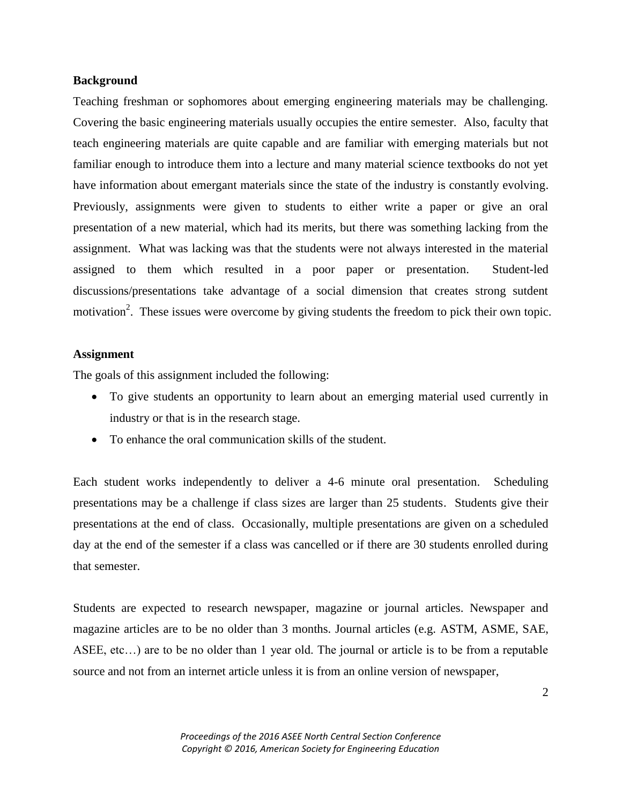#### **Background**

Teaching freshman or sophomores about emerging engineering materials may be challenging. Covering the basic engineering materials usually occupies the entire semester. Also, faculty that teach engineering materials are quite capable and are familiar with emerging materials but not familiar enough to introduce them into a lecture and many material science textbooks do not yet have information about emergant materials since the state of the industry is constantly evolving. Previously, assignments were given to students to either write a paper or give an oral presentation of a new material, which had its merits, but there was something lacking from the assignment. What was lacking was that the students were not always interested in the material assigned to them which resulted in a poor paper or presentation. Student-led discussions/presentations take advantage of a social dimension that creates strong sutdent motivation<sup>2</sup>. These issues were overcome by giving students the freedom to pick their own topic.

### **Assignment**

The goals of this assignment included the following:

- To give students an opportunity to learn about an emerging material used currently in industry or that is in the research stage.
- To enhance the oral communication skills of the student.

Each student works independently to deliver a 4-6 minute oral presentation. Scheduling presentations may be a challenge if class sizes are larger than 25 students. Students give their presentations at the end of class. Occasionally, multiple presentations are given on a scheduled day at the end of the semester if a class was cancelled or if there are 30 students enrolled during that semester.

Students are expected to research newspaper, magazine or journal articles. Newspaper and magazine articles are to be no older than 3 months. Journal articles (e.g. ASTM, ASME, SAE, ASEE, etc…) are to be no older than 1 year old. The journal or article is to be from a reputable source and not from an internet article unless it is from an online version of newspaper,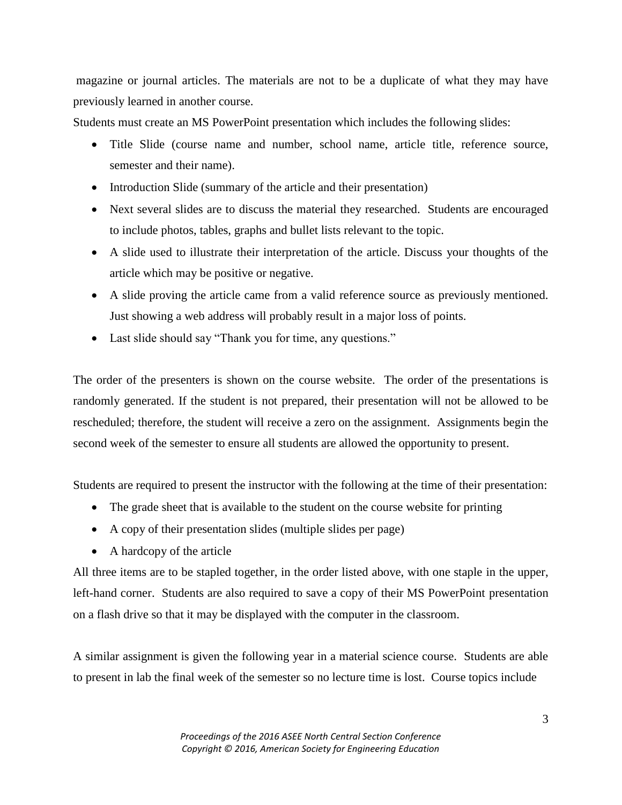magazine or journal articles. The materials are not to be a duplicate of what they may have previously learned in another course.

Students must create an MS PowerPoint presentation which includes the following slides:

- Title Slide (course name and number, school name, article title, reference source, semester and their name).
- Introduction Slide (summary of the article and their presentation)
- Next several slides are to discuss the material they researched. Students are encouraged to include photos, tables, graphs and bullet lists relevant to the topic.
- A slide used to illustrate their interpretation of the article. Discuss your thoughts of the article which may be positive or negative.
- A slide proving the article came from a valid reference source as previously mentioned. Just showing a web address will probably result in a major loss of points.
- Last slide should say "Thank you for time, any questions."

The order of the presenters is shown on the course website. The order of the presentations is randomly generated. If the student is not prepared, their presentation will not be allowed to be rescheduled; therefore, the student will receive a zero on the assignment. Assignments begin the second week of the semester to ensure all students are allowed the opportunity to present.

Students are required to present the instructor with the following at the time of their presentation:

- The grade sheet that is available to the student on the course website for printing
- A copy of their presentation slides (multiple slides per page)
- A hardcopy of the article

All three items are to be stapled together, in the order listed above, with one staple in the upper, left-hand corner. Students are also required to save a copy of their MS PowerPoint presentation on a flash drive so that it may be displayed with the computer in the classroom.

A similar assignment is given the following year in a material science course. Students are able to present in lab the final week of the semester so no lecture time is lost. Course topics include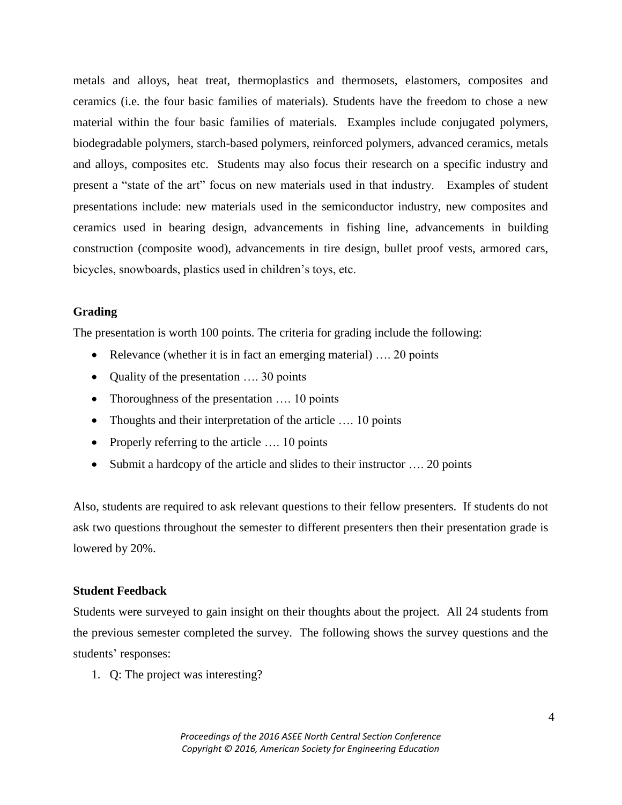metals and alloys, heat treat, thermoplastics and thermosets, elastomers, composites and ceramics (i.e. the four basic families of materials). Students have the freedom to chose a new material within the four basic families of materials. Examples include conjugated polymers, biodegradable polymers, starch-based polymers, reinforced polymers, advanced ceramics, metals and alloys, composites etc. Students may also focus their research on a specific industry and present a "state of the art" focus on new materials used in that industry. Examples of student presentations include: new materials used in the semiconductor industry, new composites and ceramics used in bearing design, advancements in fishing line, advancements in building construction (composite wood), advancements in tire design, bullet proof vests, armored cars, bicycles, snowboards, plastics used in children's toys, etc.

## **Grading**

The presentation is worth 100 points. The criteria for grading include the following:

- Relevance (whether it is in fact an emerging material) .... 20 points
- Quality of the presentation .... 30 points
- Thoroughness of the presentation .... 10 points
- Thoughts and their interpretation of the article .... 10 points
- Properly referring to the article .... 10 points
- Submit a hardcopy of the article and slides to their instructor .... 20 points

Also, students are required to ask relevant questions to their fellow presenters. If students do not ask two questions throughout the semester to different presenters then their presentation grade is lowered by 20%.

## **Student Feedback**

Students were surveyed to gain insight on their thoughts about the project. All 24 students from the previous semester completed the survey. The following shows the survey questions and the students' responses:

1. Q: The project was interesting?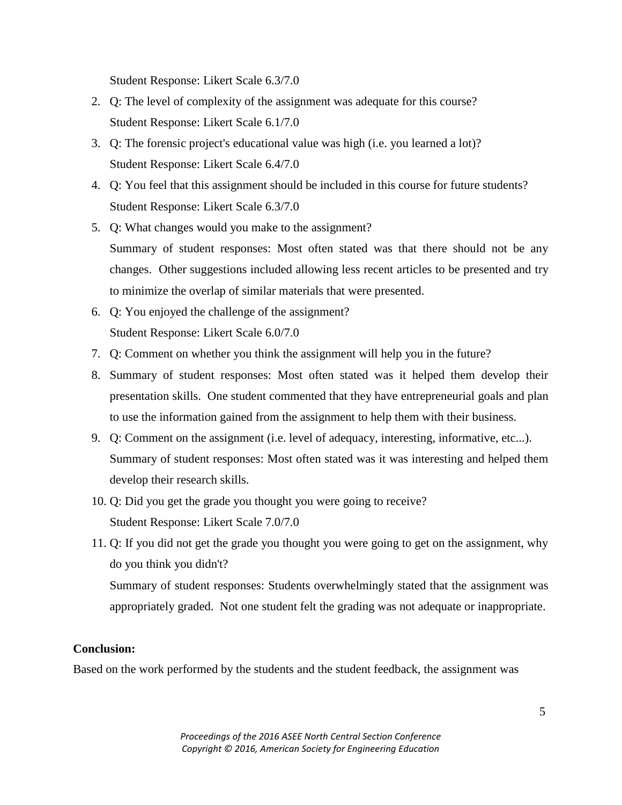Student Response: Likert Scale 6.3/7.0

- 2. Q: The level of complexity of the assignment was adequate for this course? Student Response: Likert Scale 6.1/7.0
- 3. Q: The forensic project's educational value was high (i.e. you learned a lot)? Student Response: Likert Scale 6.4/7.0
- 4. Q: You feel that this assignment should be included in this course for future students? Student Response: Likert Scale 6.3/7.0
- 5. Q: What changes would you make to the assignment? Summary of student responses: Most often stated was that there should not be any changes. Other suggestions included allowing less recent articles to be presented and try to minimize the overlap of similar materials that were presented.
- 6. Q: You enjoyed the challenge of the assignment? Student Response: Likert Scale 6.0/7.0
- 7. Q: Comment on whether you think the assignment will help you in the future?
- 8. Summary of student responses: Most often stated was it helped them develop their presentation skills. One student commented that they have entrepreneurial goals and plan to use the information gained from the assignment to help them with their business.
- 9. Q: Comment on the assignment (i.e. level of adequacy, interesting, informative, etc...). Summary of student responses: Most often stated was it was interesting and helped them develop their research skills.
- 10. Q: Did you get the grade you thought you were going to receive? Student Response: Likert Scale 7.0/7.0
- 11. Q: If you did not get the grade you thought you were going to get on the assignment, why do you think you didn't? Summary of student responses: Students overwhelmingly stated that the assignment was appropriately graded. Not one student felt the grading was not adequate or inappropriate.

## **Conclusion:**

Based on the work performed by the students and the student feedback, the assignment was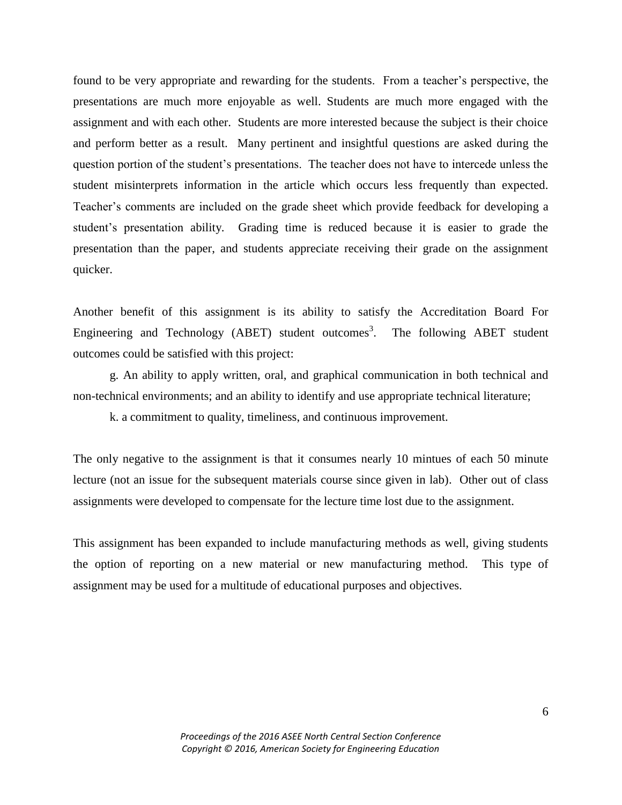found to be very appropriate and rewarding for the students. From a teacher's perspective, the presentations are much more enjoyable as well. Students are much more engaged with the assignment and with each other. Students are more interested because the subject is their choice and perform better as a result. Many pertinent and insightful questions are asked during the question portion of the student's presentations. The teacher does not have to intercede unless the student misinterprets information in the article which occurs less frequently than expected. Teacher's comments are included on the grade sheet which provide feedback for developing a student's presentation ability. Grading time is reduced because it is easier to grade the presentation than the paper, and students appreciate receiving their grade on the assignment quicker.

Another benefit of this assignment is its ability to satisfy the Accreditation Board For Engineering and Technology (ABET) student outcomes<sup>3</sup>. The following ABET student outcomes could be satisfied with this project:

g. An ability to apply written, oral, and graphical communication in both technical and non-technical environments; and an ability to identify and use appropriate technical literature;

k. a commitment to quality, timeliness, and continuous improvement.

The only negative to the assignment is that it consumes nearly 10 mintues of each 50 minute lecture (not an issue for the subsequent materials course since given in lab). Other out of class assignments were developed to compensate for the lecture time lost due to the assignment.

This assignment has been expanded to include manufacturing methods as well, giving students the option of reporting on a new material or new manufacturing method. This type of assignment may be used for a multitude of educational purposes and objectives.